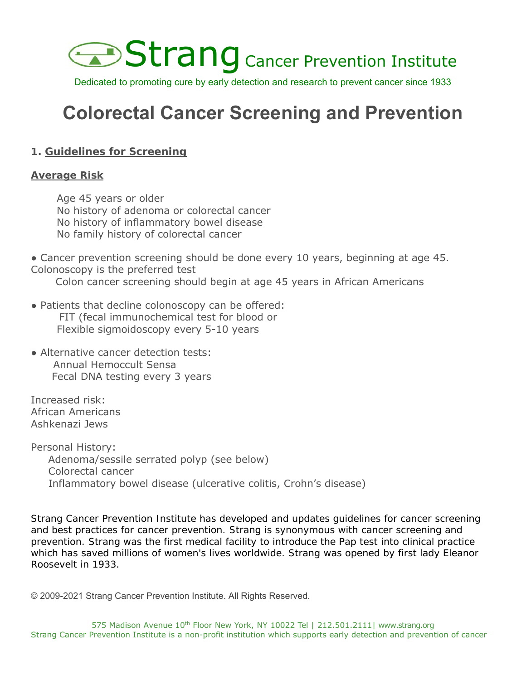

Dedicated to promoting cure by early detection and research to prevent cancer since 1933

# **Colorectal Cancer Screening and Prevention**

## **1. Guidelines for Screening**

## **Average Risk**

Age 45 years or older No history of adenoma or colorectal cancer No history of inflammatory bowel disease No family history of colorectal cancer

• Cancer prevention screening should be done every 10 years, beginning at age 45. Colonoscopy is the preferred test

Colon cancer screening should begin at age 45 years in African Americans

- Patients that decline colonoscopy can be offered: FIT (fecal immunochemical test for blood or Flexible sigmoidoscopy every 5-10 years
- Alternative cancer detection tests: Annual Hemoccult Sensa Fecal DNA testing every 3 years

Increased risk: African Americans Ashkenazi Jews

Personal History: Adenoma/sessile serrated polyp (see below) Colorectal cancer Inflammatory bowel disease (ulcerative colitis, Crohn's disease)

*Strang Cancer Prevention Institute has developed and updates guidelines for cancer screening and best practices for cancer prevention. Strang is synonymous with cancer screening and prevention. Strang was the first medical facility to introduce the Pap test into clinical practice which has saved millions of women's lives worldwide. Strang was opened by first lady Eleanor Roosevelt in 1933.*

© 2009-2021 Strang Cancer Prevention Institute. All Rights Reserved.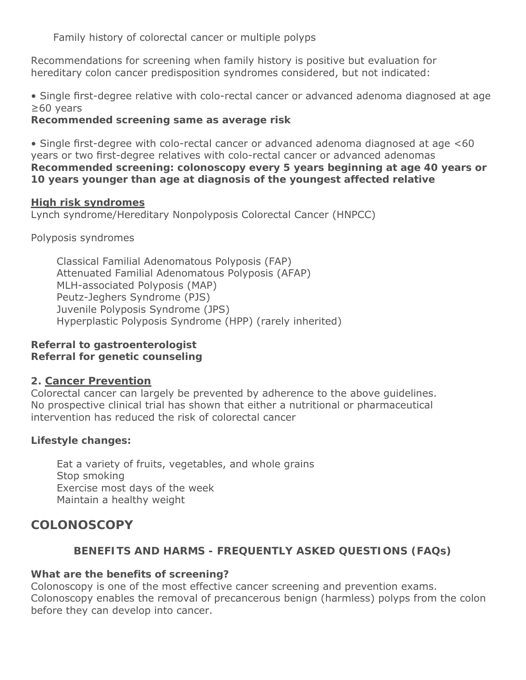Family history of colorectal cancer or multiple polyps

Recommendations for screening when family history is positive but evaluation for hereditary colon cancer predisposition syndromes considered, but not indicated:

• Single first-degree relative with colo-rectal cancer or advanced adenoma diagnosed at age ≥60 years

**Recommended screening same as average risk**

• Single first-degree with colo-rectal cancer or advanced adenoma diagnosed at age <60 years or two first-degree relatives with colo-rectal cancer or advanced adenomas **Recommended screening: colonoscopy every 5 years beginning at age 40 years or 10 years younger than age at diagnosis of the youngest affected relative**

#### **High risk syndromes**

Lynch syndrome/Hereditary Nonpolyposis Colorectal Cancer (HNPCC)

Polyposis syndromes

Classical Familial Adenomatous Polyposis (FAP) Attenuated Familial Adenomatous Polyposis (AFAP) MLH-associated Polyposis (MAP) Peutz-Jeghers Syndrome (PJS) Juvenile Polyposis Syndrome (JPS) Hyperplastic Polyposis Syndrome (HPP) (rarely inherited)

## **Referral to gastroenterologist Referral for genetic counseling**

## **2. Cancer Prevention**

Colorectal cancer can largely be prevented by adherence to the above guidelines. No prospective clinical trial has shown that either a nutritional or pharmaceutical intervention has reduced the risk of colorectal cancer

## **Lifestyle changes:**

Eat a variety of fruits, vegetables, and whole grains Stop smoking Exercise most days of the week Maintain a healthy weight

## **COLONOSCOPY**

## **BENEFITS AND HARMS - FREQUENTLY ASKED QUESTIONS (FAQs)**

## **What are the benefits of screening?**

Colonoscopy is one of the most effective cancer screening and prevention exams. Colonoscopy enables the removal of precancerous benign (harmless) polyps from the colon before they can develop into cancer.